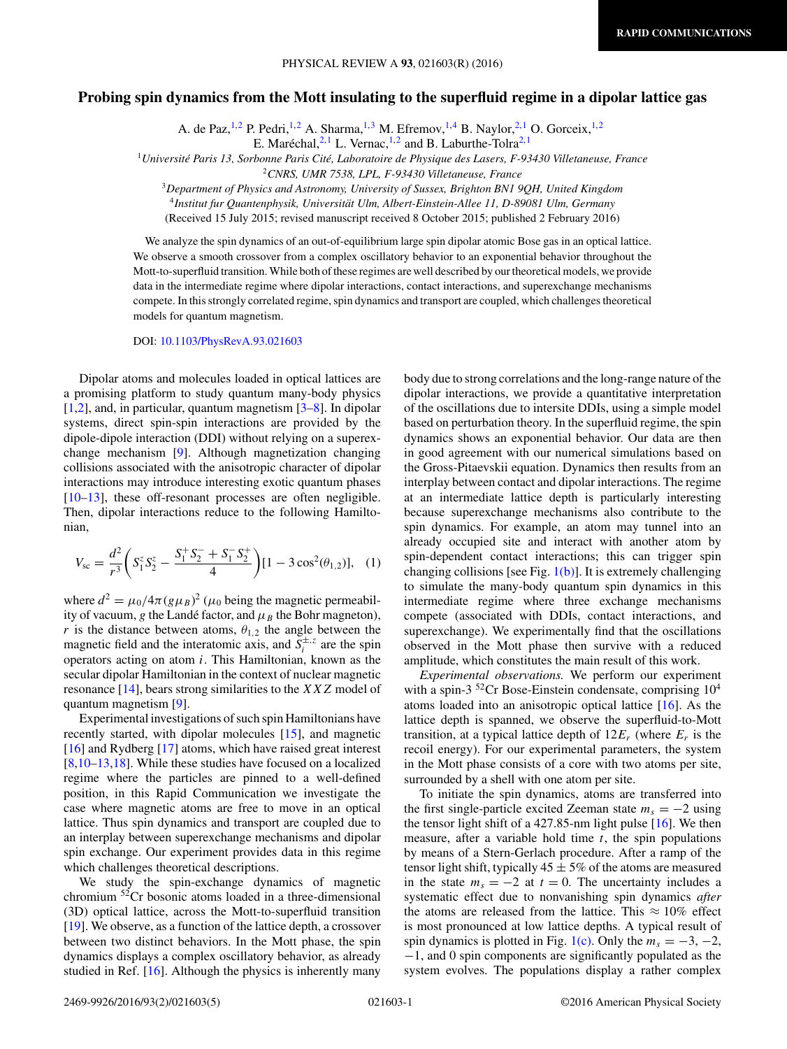## **Probing spin dynamics from the Mott insulating to the superfluid regime in a dipolar lattice gas**

A. de Paz, <sup>1,2</sup> P. Pedri, <sup>1,2</sup> A. Sharma, <sup>1,3</sup> M. Efremov, <sup>1,4</sup> B. Naylor, <sup>2,1</sup> O. Gorceix, <sup>1,2</sup>

E. Maréchal, <sup>2,1</sup> L. Vernac, <sup>1,2</sup> and B. Laburthe-Tolra<sup>2,1</sup>

<sup>1</sup>*Universite Paris 13, Sorbonne Paris Cit ´ e, Laboratoire de Physique des Lasers, F-93430 Villetaneuse, France ´*

<sup>2</sup>*CNRS, UMR 7538, LPL, F-93430 Villetaneuse, France*

<sup>3</sup>*Department of Physics and Astronomy, University of Sussex, Brighton BN1 9QH, United Kingdom*

<sup>4</sup>*Institut fur Quantenphysik, Universitat Ulm, Albert-Einstein-Allee 11, D-89081 Ulm, Germany ¨*

(Received 15 July 2015; revised manuscript received 8 October 2015; published 2 February 2016)

We analyze the spin dynamics of an out-of-equilibrium large spin dipolar atomic Bose gas in an optical lattice. We observe a smooth crossover from a complex oscillatory behavior to an exponential behavior throughout the Mott-to-superfluid transition. While both of these regimes are well described by our theoretical models, we provide data in the intermediate regime where dipolar interactions, contact interactions, and superexchange mechanisms compete. In this strongly correlated regime, spin dynamics and transport are coupled, which challenges theoretical models for quantum magnetism.

DOI: [10.1103/PhysRevA.93.021603](http://dx.doi.org/10.1103/PhysRevA.93.021603)

Dipolar atoms and molecules loaded in optical lattices are a promising platform to study quantum many-body physics [\[1,2\]](#page-3-0), and, in particular, quantum magnetism [\[3–8\]](#page-3-0). In dipolar systems, direct spin-spin interactions are provided by the dipole-dipole interaction (DDI) without relying on a superexchange mechanism [\[9\]](#page-3-0). Although magnetization changing collisions associated with the anisotropic character of dipolar interactions may introduce interesting exotic quantum phases [\[10–13\]](#page-3-0), these off-resonant processes are often negligible. Then, dipolar interactions reduce to the following Hamiltonian,

$$
V_{\rm sc} = \frac{d^2}{r^3} \left( S_1^z S_2^z - \frac{S_1^+ S_2^- + S_1^- S_2^+}{4} \right) [1 - 3 \cos^2(\theta_{1,2})], \quad (1)
$$

where  $d^2 = \mu_0/4\pi (g\mu_B)^2$  ( $\mu_0$  being the magnetic permeability of vacuum, *g* the Landé factor, and  $\mu_B$  the Bohr magneton), *r* is the distance between atoms,  $\theta_{1,2}$  the angle between the magnetic field and the interatomic axis, and  $\tilde{S}_i^{\pm,z}$  are the spin operators acting on atom *i*. This Hamiltonian, known as the secular dipolar Hamiltonian in the context of nuclear magnetic resonance [\[14\]](#page-3-0), bears strong similarities to the *XXZ* model of quantum magnetism [\[9\]](#page-3-0).

Experimental investigations of such spin Hamiltonians have recently started, with dipolar molecules [\[15\]](#page-3-0), and magnetic [\[16\]](#page-3-0) and Rydberg [\[17\]](#page-3-0) atoms, which have raised great interest [\[8,10–13,18\]](#page-3-0). While these studies have focused on a localized regime where the particles are pinned to a well-defined position, in this Rapid Communication we investigate the case where magnetic atoms are free to move in an optical lattice. Thus spin dynamics and transport are coupled due to an interplay between superexchange mechanisms and dipolar spin exchange. Our experiment provides data in this regime which challenges theoretical descriptions.

We study the spin-exchange dynamics of magnetic chromium 52Cr bosonic atoms loaded in a three-dimensional (3D) optical lattice, across the Mott-to-superfluid transition [\[19\]](#page-4-0). We observe, as a function of the lattice depth, a crossover between two distinct behaviors. In the Mott phase, the spin dynamics displays a complex oscillatory behavior, as already studied in Ref. [\[16\]](#page-3-0). Although the physics is inherently many

body due to strong correlations and the long-range nature of the dipolar interactions, we provide a quantitative interpretation of the oscillations due to intersite DDIs, using a simple model based on perturbation theory. In the superfluid regime, the spin dynamics shows an exponential behavior. Our data are then in good agreement with our numerical simulations based on the Gross-Pitaevskii equation. Dynamics then results from an interplay between contact and dipolar interactions. The regime at an intermediate lattice depth is particularly interesting because superexchange mechanisms also contribute to the spin dynamics. For example, an atom may tunnel into an already occupied site and interact with another atom by spin-dependent contact interactions; this can trigger spin changing collisions [see Fig.  $1(b)$ ]. It is extremely challenging to simulate the many-body quantum spin dynamics in this intermediate regime where three exchange mechanisms compete (associated with DDIs, contact interactions, and superexchange). We experimentally find that the oscillations observed in the Mott phase then survive with a reduced amplitude, which constitutes the main result of this work.

*Experimental observations.* We perform our experiment with a spin-3  ${}^{52}$ Cr Bose-Einstein condensate, comprising  $10<sup>4</sup>$ atoms loaded into an anisotropic optical lattice [\[16\]](#page-3-0). As the lattice depth is spanned, we observe the superfluid-to-Mott transition, at a typical lattice depth of  $12E_r$  (where  $E_r$  is the recoil energy). For our experimental parameters, the system in the Mott phase consists of a core with two atoms per site, surrounded by a shell with one atom per site.

To initiate the spin dynamics, atoms are transferred into the first single-particle excited Zeeman state  $m_s = -2$  using the tensor light shift of a 427.85-nm light pulse [\[16\]](#page-3-0). We then measure, after a variable hold time *t*, the spin populations by means of a Stern-Gerlach procedure. After a ramp of the tensor light shift, typically  $45 \pm 5\%$  of the atoms are measured in the state  $m_s = -2$  at  $t = 0$ . The uncertainty includes a systematic effect due to nonvanishing spin dynamics *after* the atoms are released from the lattice. This  $\approx 10\%$  effect is most pronounced at low lattice depths. A typical result of spin dynamics is plotted in Fig. [1\(c\).](#page-1-0) Only the  $m_s = -3, -2,$ −1, and 0 spin components are significantly populated as the system evolves. The populations display a rather complex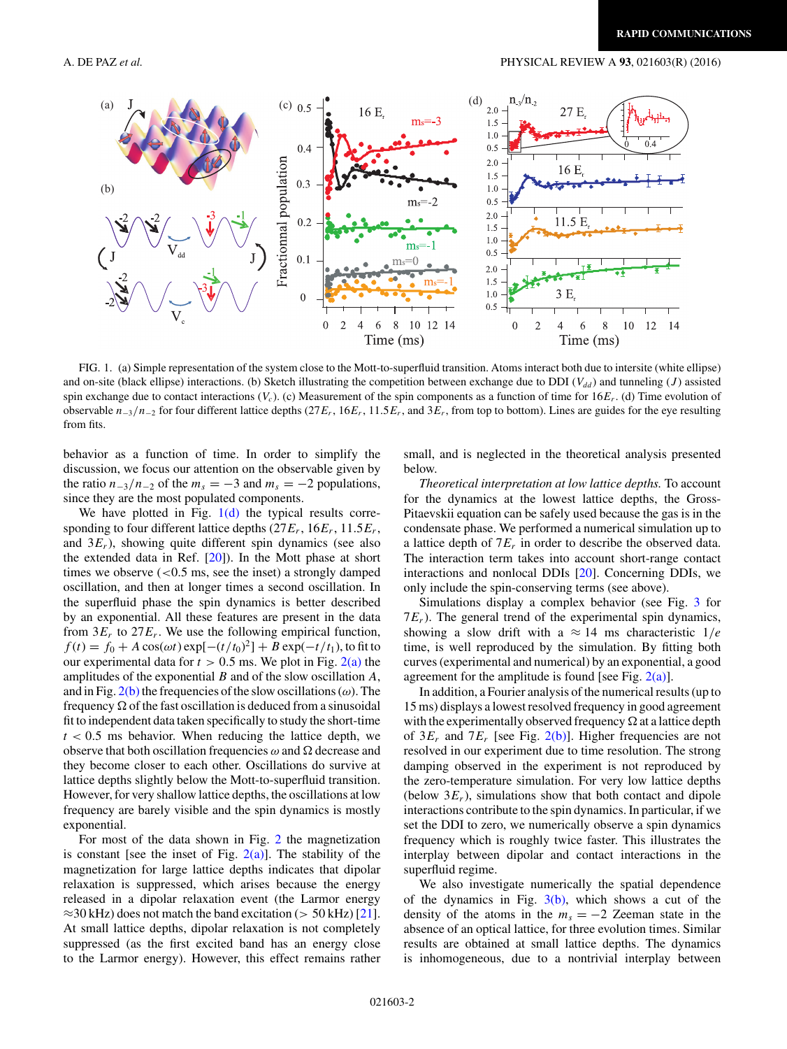<span id="page-1-0"></span>

FIG. 1. (a) Simple representation of the system close to the Mott-to-superfluid transition. Atoms interact both due to intersite (white ellipse) and on-site (black ellipse) interactions. (b) Sketch illustrating the competition between exchange due to DDI ( $V_{dd}$ ) and tunneling (*J*) assisted spin exchange due to contact interactions  $(V_c)$ . (c) Measurement of the spin components as a function of time for  $16E_r$ . (d) Time evolution of observable *n*−<sup>3</sup>*/n*−<sup>2</sup> for four different lattice depths (27*Er*, 16*Er*, 11*.*5*Er*, and 3*Er*, from top to bottom). Lines are guides for the eye resulting from fits.

behavior as a function of time. In order to simplify the discussion, we focus our attention on the observable given by the ratio  $n_{-3}/n_{-2}$  of the  $m_s = -3$  and  $m_s = -2$  populations, since they are the most populated components.

We have plotted in Fig.  $1(d)$  the typical results corresponding to four different lattice depths (27*Er*, 16*Er*, 11*.*5*Er*, and 3*Er*), showing quite different spin dynamics (see also the extended data in Ref. [\[20\]](#page-4-0)). In the Mott phase at short times we observe (*<*0.5 ms, see the inset) a strongly damped oscillation, and then at longer times a second oscillation. In the superfluid phase the spin dynamics is better described by an exponential. All these features are present in the data from  $3E_r$  to  $27E_r$ . We use the following empirical function,  $f(t) = f_0 + A \cos(\omega t) \exp[-(t/t_0)^2] + B \exp(-t/t_1)$ , to fit to our experimental data for  $t > 0.5$  ms. We plot in Fig. [2\(a\)](#page-2-0) the amplitudes of the exponential *B* and of the slow oscillation *A*, and in Fig.  $2(b)$  the frequencies of the slow oscillations ( $\omega$ ). The frequency  $\Omega$  of the fast oscillation is deduced from a sinusoidal fit to independent data taken specifically to study the short-time *t <* 0*.*5 ms behavior. When reducing the lattice depth, we observe that both oscillation frequencies  $\omega$  and  $\Omega$  decrease and they become closer to each other. Oscillations do survive at lattice depths slightly below the Mott-to-superfluid transition. However, for very shallow lattice depths, the oscillations at low frequency are barely visible and the spin dynamics is mostly exponential.

For most of the data shown in Fig. [2](#page-2-0) the magnetization is constant [see the inset of Fig.  $2(a)$ ]. The stability of the magnetization for large lattice depths indicates that dipolar relaxation is suppressed, which arises because the energy released in a dipolar relaxation event (the Larmor energy ≈30 kHz) does not match the band excitation (*>* 50 kHz) [\[21\]](#page-4-0). At small lattice depths, dipolar relaxation is not completely suppressed (as the first excited band has an energy close to the Larmor energy). However, this effect remains rather

small, and is neglected in the theoretical analysis presented below.

*Theoretical interpretation at low lattice depths.* To account for the dynamics at the lowest lattice depths, the Gross-Pitaevskii equation can be safely used because the gas is in the condensate phase. We performed a numerical simulation up to a lattice depth of 7*Er* in order to describe the observed data. The interaction term takes into account short-range contact interactions and nonlocal DDIs [\[20\]](#page-4-0). Concerning DDIs, we only include the spin-conserving terms (see above).

Simulations display a complex behavior (see Fig. [3](#page-2-0) for  $7E_r$ ). The general trend of the experimental spin dynamics, showing a slow drift with a  $\approx$  14 ms characteristic  $1/e$ time, is well reproduced by the simulation. By fitting both curves (experimental and numerical) by an exponential, a good agreement for the amplitude is found [see Fig.  $2(a)$ ].

In addition, a Fourier analysis of the numerical results (up to 15 ms) displays a lowest resolved frequency in good agreement with the experimentally observed frequency  $\Omega$  at a lattice depth of  $3E_r$  and  $7E_r$  [see Fig. [2\(b\)\]](#page-2-0). Higher frequencies are not resolved in our experiment due to time resolution. The strong damping observed in the experiment is not reproduced by the zero-temperature simulation. For very low lattice depths (below  $3E_r$ ), simulations show that both contact and dipole interactions contribute to the spin dynamics. In particular, if we set the DDI to zero, we numerically observe a spin dynamics frequency which is roughly twice faster. This illustrates the interplay between dipolar and contact interactions in the superfluid regime.

We also investigate numerically the spatial dependence of the dynamics in Fig.  $3(b)$ , which shows a cut of the density of the atoms in the  $m<sub>s</sub> = -2$  Zeeman state in the absence of an optical lattice, for three evolution times. Similar results are obtained at small lattice depths. The dynamics is inhomogeneous, due to a nontrivial interplay between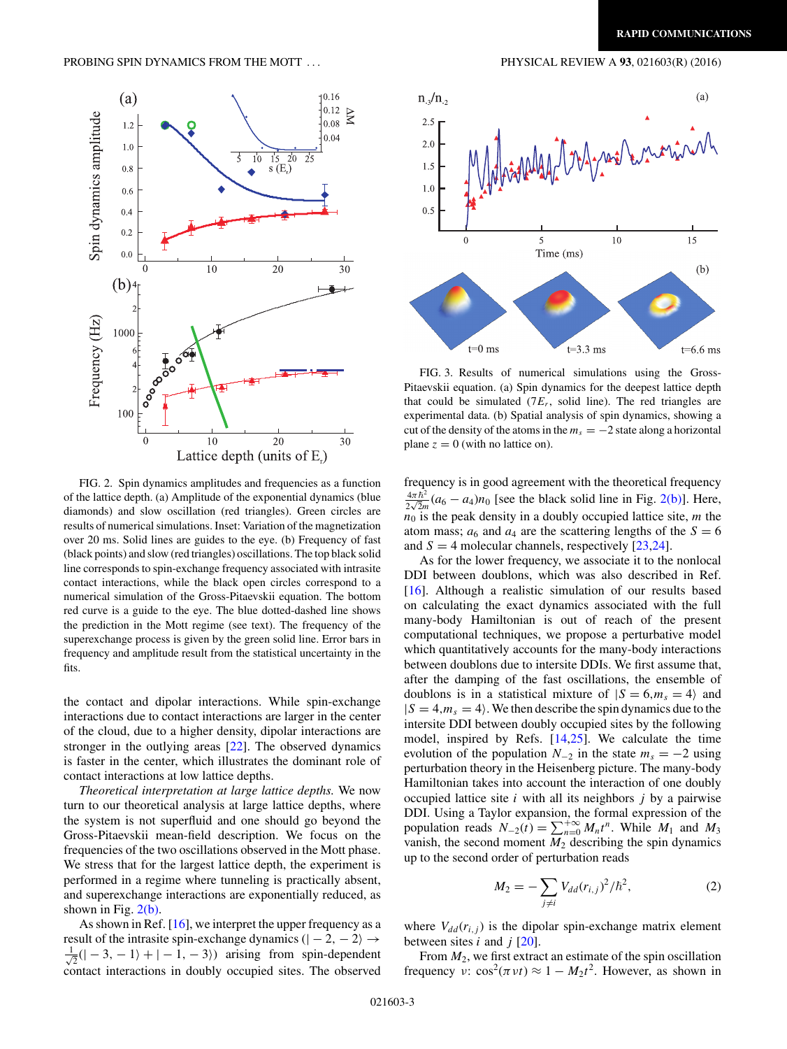<span id="page-2-0"></span>

FIG. 2. Spin dynamics amplitudes and frequencies as a function of the lattice depth. (a) Amplitude of the exponential dynamics (blue diamonds) and slow oscillation (red triangles). Green circles are results of numerical simulations. Inset: Variation of the magnetization over 20 ms. Solid lines are guides to the eye. (b) Frequency of fast (black points) and slow (red triangles) oscillations. The top black solid line corresponds to spin-exchange frequency associated with intrasite contact interactions, while the black open circles correspond to a numerical simulation of the Gross-Pitaevskii equation. The bottom red curve is a guide to the eye. The blue dotted-dashed line shows the prediction in the Mott regime (see text). The frequency of the superexchange process is given by the green solid line. Error bars in frequency and amplitude result from the statistical uncertainty in the fits.

the contact and dipolar interactions. While spin-exchange interactions due to contact interactions are larger in the center of the cloud, due to a higher density, dipolar interactions are stronger in the outlying areas [\[22\]](#page-4-0). The observed dynamics is faster in the center, which illustrates the dominant role of contact interactions at low lattice depths.

*Theoretical interpretation at large lattice depths.* We now turn to our theoretical analysis at large lattice depths, where the system is not superfluid and one should go beyond the Gross-Pitaevskii mean-field description. We focus on the frequencies of the two oscillations observed in the Mott phase. We stress that for the largest lattice depth, the experiment is performed in a regime where tunneling is practically absent, and superexchange interactions are exponentially reduced, as shown in Fig.  $2(b)$ .

As shown in Ref. [\[16\]](#page-3-0), we interpret the upper frequency as a result of the intrasite spin-exchange dynamics ( $|-2, -2\rangle \rightarrow$ √ 1  $\overline{z}$ (| − 3*,* − 1) + | − 1*,* − 3)) arising from spin-dependent contact interactions in doubly occupied sites. The observed



FIG. 3. Results of numerical simulations using the Gross-Pitaevskii equation. (a) Spin dynamics for the deepest lattice depth that could be simulated  $(7E_r, \text{ solid line})$ . The red triangles are experimental data. (b) Spatial analysis of spin dynamics, showing a cut of the density of the atoms in the  $m<sub>s</sub> = -2$  state along a horizontal plane  $z = 0$  (with no lattice on).

frequency is in good agreement with the theoretical frequency  $4π\hbar^2$  $\frac{4\pi\hbar^2}{2\sqrt{2m}}(a_6 - a_4)n_0$  [see the black solid line in Fig. 2(b)]. Here,  $n_0$  is the peak density in a doubly occupied lattice site,  $m$  the atom mass;  $a_6$  and  $a_4$  are the scattering lengths of the  $S = 6$ and  $S = 4$  molecular channels, respectively [\[23,24\]](#page-4-0).

As for the lower frequency, we associate it to the nonlocal DDI between doublons, which was also described in Ref. [\[16\]](#page-3-0). Although a realistic simulation of our results based on calculating the exact dynamics associated with the full many-body Hamiltonian is out of reach of the present computational techniques, we propose a perturbative model which quantitatively accounts for the many-body interactions between doublons due to intersite DDIs. We first assume that, after the damping of the fast oscillations, the ensemble of doublons is in a statistical mixture of  $|S = 6, m_s = 4\rangle$  and  $|S = 4, m_s = 4$ . We then describe the spin dynamics due to the intersite DDI between doubly occupied sites by the following model, inspired by Refs. [\[14,](#page-3-0)[25\]](#page-4-0). We calculate the time evolution of the population  $N_{-2}$  in the state  $m_s = -2$  using perturbation theory in the Heisenberg picture. The many-body Hamiltonian takes into account the interaction of one doubly occupied lattice site *i* with all its neighbors *j* by a pairwise DDI. Using a Taylor expansion, the formal expression of the population reads  $N_{-2}(t) = \sum_{n=0}^{+\infty} M_n t^n$ . While  $M_1$  and  $M_3$ vanish, the second moment  $M_2$  describing the spin dynamics up to the second order of perturbation reads

$$
M_2 = -\sum_{j \neq i} V_{dd}(r_{i,j})^2 / \hbar^2, \tag{2}
$$

where  $V_{dd}(r_{i,j})$  is the dipolar spin-exchange matrix element between sites  $i$  and  $j$  [\[20\]](#page-4-0).

From *M*2, we first extract an estimate of the spin oscillation frequency *ν*:  $\cos^2(\pi vt) \approx 1 - M_2 t^2$ . However, as shown in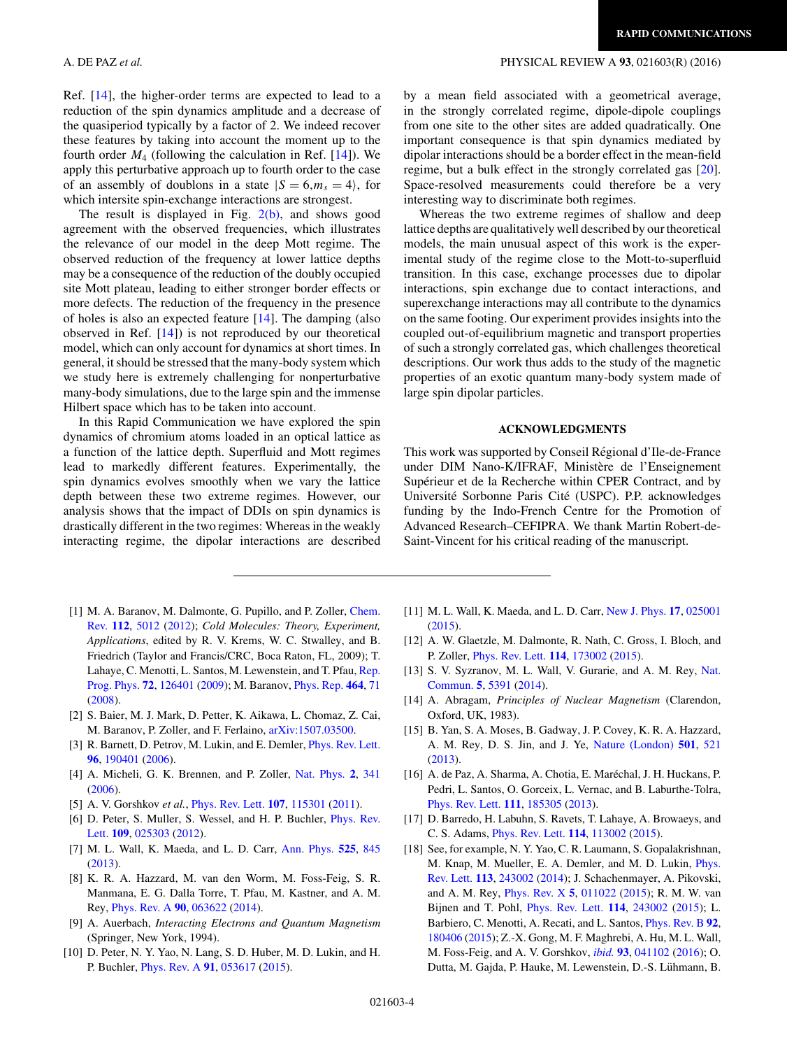Ref. [14], the higher-order terms are expected to lead to a reduction of the spin dynamics amplitude and a decrease of the quasiperiod typically by a factor of 2. We indeed recover these features by taking into account the moment up to the fourth order *M*<sup>4</sup> (following the calculation in Ref. [14]). We apply this perturbative approach up to fourth order to the case of an assembly of doublons in a state  $|S = 6, m_s = 4\rangle$ , for which intersite spin-exchange interactions are strongest.

The result is displayed in Fig.  $2(b)$ , and shows good agreement with the observed frequencies, which illustrates the relevance of our model in the deep Mott regime. The observed reduction of the frequency at lower lattice depths may be a consequence of the reduction of the doubly occupied site Mott plateau, leading to either stronger border effects or more defects. The reduction of the frequency in the presence of holes is also an expected feature [14]. The damping (also observed in Ref. [14]) is not reproduced by our theoretical model, which can only account for dynamics at short times. In general, it should be stressed that the many-body system which we study here is extremely challenging for nonperturbative many-body simulations, due to the large spin and the immense Hilbert space which has to be taken into account.

In this Rapid Communication we have explored the spin dynamics of chromium atoms loaded in an optical lattice as a function of the lattice depth. Superfluid and Mott regimes lead to markedly different features. Experimentally, the spin dynamics evolves smoothly when we vary the lattice depth between these two extreme regimes. However, our analysis shows that the impact of DDIs on spin dynamics is drastically different in the two regimes: Whereas in the weakly interacting regime, the dipolar interactions are described

<span id="page-3-0"></span>A. DE PAZ *et al.* PHYSICAL REVIEW A **93**, 021603(R) (2016)

by a mean field associated with a geometrical average, in the strongly correlated regime, dipole-dipole couplings from one site to the other sites are added quadratically. One important consequence is that spin dynamics mediated by dipolar interactions should be a border effect in the mean-field regime, but a bulk effect in the strongly correlated gas [\[20\]](#page-4-0). Space-resolved measurements could therefore be a very interesting way to discriminate both regimes.

Whereas the two extreme regimes of shallow and deep lattice depths are qualitatively well described by our theoretical models, the main unusual aspect of this work is the experimental study of the regime close to the Mott-to-superfluid transition. In this case, exchange processes due to dipolar interactions, spin exchange due to contact interactions, and superexchange interactions may all contribute to the dynamics on the same footing. Our experiment provides insights into the coupled out-of-equilibrium magnetic and transport properties of such a strongly correlated gas, which challenges theoretical descriptions. Our work thus adds to the study of the magnetic properties of an exotic quantum many-body system made of large spin dipolar particles.

## **ACKNOWLEDGMENTS**

This work was supported by Conseil Regional d'Ile-de-France ´ under DIM Nano-K/IFRAF, Ministère de l'Enseignement Supérieur et de la Recherche within CPER Contract, and by Université Sorbonne Paris Cité (USPC). P.P. acknowledges funding by the Indo-French Centre for the Promotion of Advanced Research–CEFIPRA. We thank Martin Robert-de-Saint-Vincent for his critical reading of the manuscript.

- [1] [M. A. Baranov, M. Dalmonte, G. Pupillo, and P. Zoller,](http://dx.doi.org/10.1021/cr2003568) Chem. Rev. **[112](http://dx.doi.org/10.1021/cr2003568)**, [5012](http://dx.doi.org/10.1021/cr2003568) [\(2012\)](http://dx.doi.org/10.1021/cr2003568); *Cold Molecules: Theory, Experiment, Applications*, edited by R. V. Krems, W. C. Stwalley, and B. Friedrich (Taylor and Francis/CRC, Boca Raton, FL, 2009); T. [Lahaye, C. Menotti, L. Santos, M. Lewenstein, and T. Pfau,](http://dx.doi.org/10.1088/0034-4885/72/12/126401) Rep. Prog. Phys. **[72](http://dx.doi.org/10.1088/0034-4885/72/12/126401)**, [126401](http://dx.doi.org/10.1088/0034-4885/72/12/126401) [\(2009\)](http://dx.doi.org/10.1088/0034-4885/72/12/126401); M. Baranov, [Phys. Rep.](http://dx.doi.org/10.1016/j.physrep.2008.04.007) **[464](http://dx.doi.org/10.1016/j.physrep.2008.04.007)**, [71](http://dx.doi.org/10.1016/j.physrep.2008.04.007) [\(2008\)](http://dx.doi.org/10.1016/j.physrep.2008.04.007).
- [2] S. Baier, M. J. Mark, D. Petter, K. Aikawa, L. Chomaz, Z. Cai, M. Baranov, P. Zoller, and F. Ferlaino, [arXiv:1507.03500.](http://arxiv.org/abs/arXiv:1507.03500)
- [3] R. Barnett, D. Petrov, M. Lukin, and E. Demler, *[Phys. Rev. Lett.](http://dx.doi.org/10.1103/PhysRevLett.96.190401)* **[96](http://dx.doi.org/10.1103/PhysRevLett.96.190401)**, [190401](http://dx.doi.org/10.1103/PhysRevLett.96.190401) [\(2006\)](http://dx.doi.org/10.1103/PhysRevLett.96.190401).
- [4] A. Micheli, G. K. Brennen, and P. Zoller, [Nat. Phys.](http://dx.doi.org/10.1038/nphys287) **[2](http://dx.doi.org/10.1038/nphys287)**, [341](http://dx.doi.org/10.1038/nphys287) [\(2006\)](http://dx.doi.org/10.1038/nphys287).
- [5] A. V. Gorshkov *et al.*, [Phys. Rev. Lett.](http://dx.doi.org/10.1103/PhysRevLett.107.115301) **[107](http://dx.doi.org/10.1103/PhysRevLett.107.115301)**, [115301](http://dx.doi.org/10.1103/PhysRevLett.107.115301) [\(2011\)](http://dx.doi.org/10.1103/PhysRevLett.107.115301).
- [6] [D. Peter, S. Muller, S. Wessel, and H. P. Buchler,](http://dx.doi.org/10.1103/PhysRevLett.109.025303) *Phys. Rev.* Lett. **[109](http://dx.doi.org/10.1103/PhysRevLett.109.025303)**, [025303](http://dx.doi.org/10.1103/PhysRevLett.109.025303) [\(2012\)](http://dx.doi.org/10.1103/PhysRevLett.109.025303).
- [7] M. L. Wall, K. Maeda, and L. D. Carr, [Ann. Phys.](http://dx.doi.org/10.1002/andp.201300105) **[525](http://dx.doi.org/10.1002/andp.201300105)**, [845](http://dx.doi.org/10.1002/andp.201300105) [\(2013\)](http://dx.doi.org/10.1002/andp.201300105).
- [8] K. R. A. Hazzard, M. van den Worm, M. Foss-Feig, S. R. Manmana, E. G. Dalla Torre, T. Pfau, M. Kastner, and A. M. Rey, [Phys. Rev. A](http://dx.doi.org/10.1103/PhysRevA.90.063622) **[90](http://dx.doi.org/10.1103/PhysRevA.90.063622)**, [063622](http://dx.doi.org/10.1103/PhysRevA.90.063622) [\(2014\)](http://dx.doi.org/10.1103/PhysRevA.90.063622).
- [9] A. Auerbach, *Interacting Electrons and Quantum Magnetism* (Springer, New York, 1994).
- [10] D. Peter, N. Y. Yao, N. Lang, S. D. Huber, M. D. Lukin, and H. P. Buchler, [Phys. Rev. A](http://dx.doi.org/10.1103/PhysRevA.91.053617) **[91](http://dx.doi.org/10.1103/PhysRevA.91.053617)**, [053617](http://dx.doi.org/10.1103/PhysRevA.91.053617) [\(2015\)](http://dx.doi.org/10.1103/PhysRevA.91.053617).
- [11] M. L. Wall, K. Maeda, and L. D. Carr, [New J. Phys.](http://dx.doi.org/10.1088/1367-2630/17/2/025001) **[17](http://dx.doi.org/10.1088/1367-2630/17/2/025001)**, [025001](http://dx.doi.org/10.1088/1367-2630/17/2/025001) [\(2015\)](http://dx.doi.org/10.1088/1367-2630/17/2/025001).
- [12] A. W. Glaetzle, M. Dalmonte, R. Nath, C. Gross, I. Bloch, and P. Zoller, [Phys. Rev. Lett.](http://dx.doi.org/10.1103/PhysRevLett.114.173002) **[114](http://dx.doi.org/10.1103/PhysRevLett.114.173002)**, [173002](http://dx.doi.org/10.1103/PhysRevLett.114.173002) [\(2015\)](http://dx.doi.org/10.1103/PhysRevLett.114.173002).
- [13] [S. V. Syzranov, M. L. Wall, V. Gurarie, and A. M. Rey,](http://dx.doi.org/10.1038/ncomms6391) Nat. Commun. **[5](http://dx.doi.org/10.1038/ncomms6391)**, [5391](http://dx.doi.org/10.1038/ncomms6391) [\(2014\)](http://dx.doi.org/10.1038/ncomms6391).
- [14] A. Abragam, *Principles of Nuclear Magnetism* (Clarendon, Oxford, UK, 1983).
- [15] B. Yan, S. A. Moses, B. Gadway, J. P. Covey, K. R. A. Hazzard, A. M. Rey, D. S. Jin, and J. Ye, [Nature \(London\)](http://dx.doi.org/10.1038/nature12483) **[501](http://dx.doi.org/10.1038/nature12483)**, [521](http://dx.doi.org/10.1038/nature12483) [\(2013\)](http://dx.doi.org/10.1038/nature12483).
- [16] A. de Paz, A. Sharma, A. Chotia, E. Maréchal, J. H. Huckans, P. Pedri, L. Santos, O. Gorceix, L. Vernac, and B. Laburthe-Tolra, [Phys. Rev. Lett.](http://dx.doi.org/10.1103/PhysRevLett.111.185305) **[111](http://dx.doi.org/10.1103/PhysRevLett.111.185305)**, [185305](http://dx.doi.org/10.1103/PhysRevLett.111.185305) [\(2013\)](http://dx.doi.org/10.1103/PhysRevLett.111.185305).
- [17] D. Barredo, H. Labuhn, S. Ravets, T. Lahaye, A. Browaeys, and C. S. Adams, [Phys. Rev. Lett.](http://dx.doi.org/10.1103/PhysRevLett.114.113002) **[114](http://dx.doi.org/10.1103/PhysRevLett.114.113002)**, [113002](http://dx.doi.org/10.1103/PhysRevLett.114.113002) [\(2015\)](http://dx.doi.org/10.1103/PhysRevLett.114.113002).
- [18] See, for example, N. Y. Yao, C. R. Laumann, S. Gopalakrishnan, [M. Knap, M. Mueller, E. A. Demler, and M. D. Lukin,](http://dx.doi.org/10.1103/PhysRevLett.113.243002) Phys. Rev. Lett. **[113](http://dx.doi.org/10.1103/PhysRevLett.113.243002)**, [243002](http://dx.doi.org/10.1103/PhysRevLett.113.243002) [\(2014\)](http://dx.doi.org/10.1103/PhysRevLett.113.243002); J. Schachenmayer, A. Pikovski, and A. M. Rey, [Phys. Rev. X](http://dx.doi.org/10.1103/PhysRevX.5.011022) **[5](http://dx.doi.org/10.1103/PhysRevX.5.011022)**, [011022](http://dx.doi.org/10.1103/PhysRevX.5.011022) [\(2015\)](http://dx.doi.org/10.1103/PhysRevX.5.011022); R. M. W. van Bijnen and T. Pohl, [Phys. Rev. Lett.](http://dx.doi.org/10.1103/PhysRevLett.114.243002) **[114](http://dx.doi.org/10.1103/PhysRevLett.114.243002)**, [243002](http://dx.doi.org/10.1103/PhysRevLett.114.243002) [\(2015\)](http://dx.doi.org/10.1103/PhysRevLett.114.243002); L. Barbiero, C. Menotti, A. Recati, and L. Santos, [Phys. Rev. B](http://dx.doi.org/10.1103/PhysRevB.92.180406) **[92](http://dx.doi.org/10.1103/PhysRevB.92.180406)**, [180406](http://dx.doi.org/10.1103/PhysRevB.92.180406) [\(2015\)](http://dx.doi.org/10.1103/PhysRevB.92.180406); Z.-X. Gong, M. F. Maghrebi, A. Hu, M. L. Wall, M. Foss-Feig, and A. V. Gorshkov, *[ibid.](http://dx.doi.org/10.1103/PhysRevB.93.041102)* **[93](http://dx.doi.org/10.1103/PhysRevB.93.041102)**, [041102](http://dx.doi.org/10.1103/PhysRevB.93.041102) [\(2016\)](http://dx.doi.org/10.1103/PhysRevB.93.041102); O. Dutta, M. Gajda, P. Hauke, M. Lewenstein, D.-S. Lühmann, B.